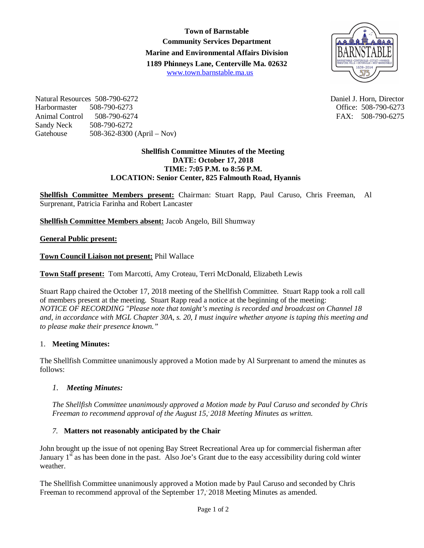**Town of Barnstable Community Services Department Marine and Environmental Affairs Division 1189 Phinneys Lane, Centerville Ma. 02632** www.town.barnstable.ma.us



Natural Resources 508-790-6272 Daniel J. Horn, Director Harbormaster 508-790-6273 Office: 508-790-6273 Animal Control 508-790-6274 FAX: 508-790-6275 Sandy Neck 508-790-6272<br>Gatehouse 508-362-8300 508-362-8300 (April – Nov)

#### **Shellfish Committee Minutes of the Meeting DATE: October 17, 2018 TIME: 7:05 P.M. to 8:56 P.M. LOCATION: Senior Center, 825 Falmouth Road, Hyannis**

**Shellfish Committee Members present:** Chairman: Stuart Rapp, Paul Caruso, Chris Freeman, Al Surprenant, Patricia Farinha and Robert Lancaster

**Shellfish Committee Members absent:** Jacob Angelo, Bill Shumway

#### **General Public present:**

**Town Council Liaison not present:** Phil Wallace

**Town Staff present:** Tom Marcotti, Amy Croteau, Terri McDonald, Elizabeth Lewis

Stuart Rapp chaired the October 17, 2018 meeting of the Shellfish Committee. Stuart Rapp took a roll call of members present at the meeting. Stuart Rapp read a notice at the beginning of the meeting: *NOTICE OF RECORDING "Please note that tonight's meeting is recorded and broadcast on Channel 18 and, in accordance with MGL Chapter 30A, s. 20, I must inquire whether anyone is taping this meeting and to please make their presence known."*

# 1. **Meeting Minutes:**

The Shellfish Committee unanimously approved a Motion made by Al Surprenant to amend the minutes as follows:

# *1. Meeting Minutes:*

*The Shellfish Committee unanimously approved a Motion made by Paul Caruso and seconded by Chris Freeman to recommend approval of the August 15,, 2018 Meeting Minutes as written.*

#### *7.* **Matters not reasonably anticipated by the Chair**

John brought up the issue of not opening Bay Street Recreational Area up for commercial fisherman after January  $1<sup>st</sup>$  as has been done in the past. Also Joe's Grant due to the easy accessibility during cold winter weather.

The Shellfish Committee unanimously approved a Motion made by Paul Caruso and seconded by Chris Freeman to recommend approval of the September 17, 2018 Meeting Minutes as amended.